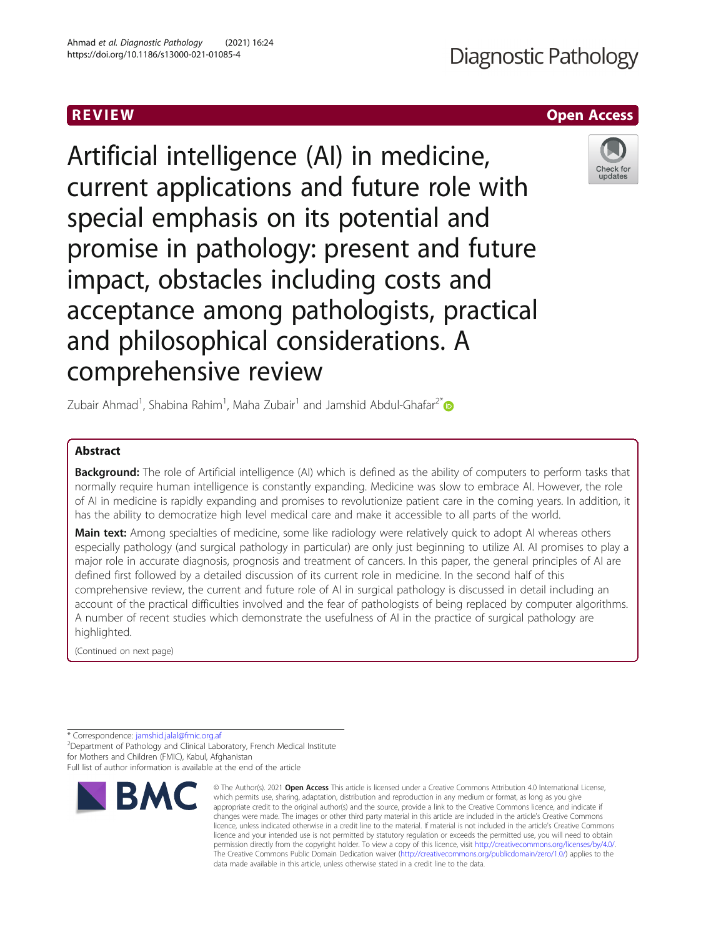# Artificial intelligence (AI) in medicine, current applications and future role with special emphasis on its potential and promise in pathology: present and future impact, obstacles including costs and acceptance among pathologists, practical and philosophical considerations. A comprehensive review

Zubair Ahmad<sup>1</sup>, Shabina Rahim<sup>1</sup>, Maha Zubair<sup>1</sup> and Jamshid Abdul-Ghafar<sup>2[\\*](http://orcid.org/0000-0002-6575-8870)</sup>

# Abstract

Background: The role of Artificial intelligence (AI) which is defined as the ability of computers to perform tasks that normally require human intelligence is constantly expanding. Medicine was slow to embrace AI. However, the role of AI in medicine is rapidly expanding and promises to revolutionize patient care in the coming years. In addition, it has the ability to democratize high level medical care and make it accessible to all parts of the world.

Main text: Among specialties of medicine, some like radiology were relatively quick to adopt AI whereas others especially pathology (and surgical pathology in particular) are only just beginning to utilize AI. AI promises to play a major role in accurate diagnosis, prognosis and treatment of cancers. In this paper, the general principles of AI are defined first followed by a detailed discussion of its current role in medicine. In the second half of this comprehensive review, the current and future role of AI in surgical pathology is discussed in detail including an account of the practical difficulties involved and the fear of pathologists of being replaced by computer algorithms. A number of recent studies which demonstrate the usefulness of AI in the practice of surgical pathology are highlighted.

(Continued on next page)

\* Correspondence: [jamshid.jalal@fmic.org.af](mailto:jamshid.jalal@fmic.org.af) <sup>2</sup>

<sup>2</sup>Department of Pathology and Clinical Laboratory, French Medical Institute for Mothers and Children (FMIC), Kabul, Afghanistan Full list of author information is available at the end of the article



<sup>©</sup> The Author(s), 2021 **Open Access** This article is licensed under a Creative Commons Attribution 4.0 International License, which permits use, sharing, adaptation, distribution and reproduction in any medium or format, as long as you give appropriate credit to the original author(s) and the source, provide a link to the Creative Commons licence, and indicate if changes were made. The images or other third party material in this article are included in the article's Creative Commons licence, unless indicated otherwise in a credit line to the material. If material is not included in the article's Creative Commons licence and your intended use is not permitted by statutory regulation or exceeds the permitted use, you will need to obtain permission directly from the copyright holder. To view a copy of this licence, visit [http://creativecommons.org/licenses/by/4.0/.](http://creativecommons.org/licenses/by/4.0/) The Creative Commons Public Domain Dedication waiver [\(http://creativecommons.org/publicdomain/zero/1.0/](http://creativecommons.org/publicdomain/zero/1.0/)) applies to the data made available in this article, unless otherwise stated in a credit line to the data.



**Diagnostic Pathology**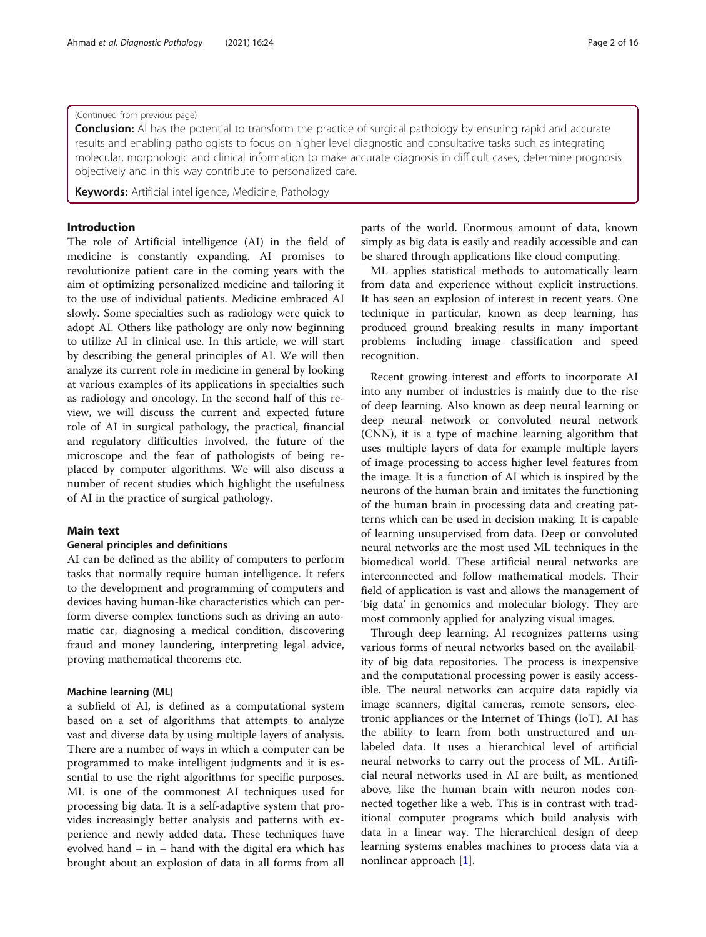# (Continued from previous page)

**Conclusion:** AI has the potential to transform the practice of surgical pathology by ensuring rapid and accurate results and enabling pathologists to focus on higher level diagnostic and consultative tasks such as integrating molecular, morphologic and clinical information to make accurate diagnosis in difficult cases, determine prognosis objectively and in this way contribute to personalized care.

Keywords: Artificial intelligence, Medicine, Pathology

# Introduction

The role of Artificial intelligence (AI) in the field of medicine is constantly expanding. AI promises to revolutionize patient care in the coming years with the aim of optimizing personalized medicine and tailoring it to the use of individual patients. Medicine embraced AI slowly. Some specialties such as radiology were quick to adopt AI. Others like pathology are only now beginning to utilize AI in clinical use. In this article, we will start by describing the general principles of AI. We will then analyze its current role in medicine in general by looking at various examples of its applications in specialties such as radiology and oncology. In the second half of this review, we will discuss the current and expected future role of AI in surgical pathology, the practical, financial and regulatory difficulties involved, the future of the microscope and the fear of pathologists of being replaced by computer algorithms. We will also discuss a number of recent studies which highlight the usefulness of AI in the practice of surgical pathology.

# Main text

# General principles and definitions

AI can be defined as the ability of computers to perform tasks that normally require human intelligence. It refers to the development and programming of computers and devices having human-like characteristics which can perform diverse complex functions such as driving an automatic car, diagnosing a medical condition, discovering fraud and money laundering, interpreting legal advice, proving mathematical theorems etc.

# Machine learning (ML)

a subfield of AI, is defined as a computational system based on a set of algorithms that attempts to analyze vast and diverse data by using multiple layers of analysis. There are a number of ways in which a computer can be programmed to make intelligent judgments and it is essential to use the right algorithms for specific purposes. ML is one of the commonest AI techniques used for processing big data. It is a self-adaptive system that provides increasingly better analysis and patterns with experience and newly added data. These techniques have evolved hand – in – hand with the digital era which has brought about an explosion of data in all forms from all parts of the world. Enormous amount of data, known simply as big data is easily and readily accessible and can be shared through applications like cloud computing.

ML applies statistical methods to automatically learn from data and experience without explicit instructions. It has seen an explosion of interest in recent years. One technique in particular, known as deep learning, has produced ground breaking results in many important problems including image classification and speed recognition.

Recent growing interest and efforts to incorporate AI into any number of industries is mainly due to the rise of deep learning. Also known as deep neural learning or deep neural network or convoluted neural network (CNN), it is a type of machine learning algorithm that uses multiple layers of data for example multiple layers of image processing to access higher level features from the image. It is a function of AI which is inspired by the neurons of the human brain and imitates the functioning of the human brain in processing data and creating patterns which can be used in decision making. It is capable of learning unsupervised from data. Deep or convoluted neural networks are the most used ML techniques in the biomedical world. These artificial neural networks are interconnected and follow mathematical models. Their field of application is vast and allows the management of 'big data' in genomics and molecular biology. They are most commonly applied for analyzing visual images.

Through deep learning, AI recognizes patterns using various forms of neural networks based on the availability of big data repositories. The process is inexpensive and the computational processing power is easily accessible. The neural networks can acquire data rapidly via image scanners, digital cameras, remote sensors, electronic appliances or the Internet of Things (IoT). AI has the ability to learn from both unstructured and unlabeled data. It uses a hierarchical level of artificial neural networks to carry out the process of ML. Artificial neural networks used in AI are built, as mentioned above, like the human brain with neuron nodes connected together like a web. This is in contrast with traditional computer programs which build analysis with data in a linear way. The hierarchical design of deep learning systems enables machines to process data via a nonlinear approach [\[1](#page-14-0)].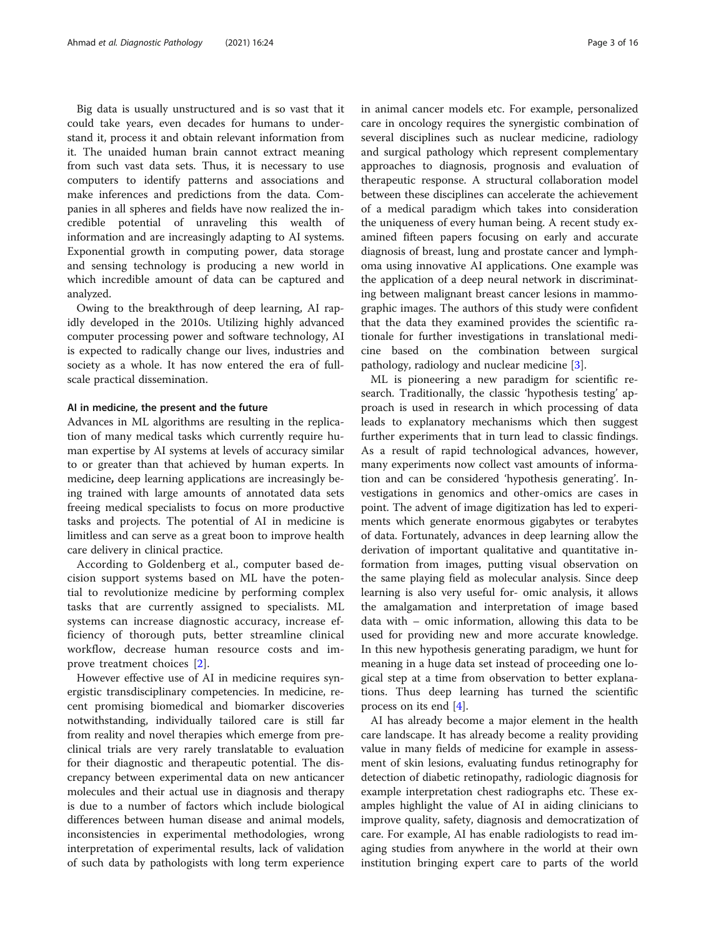Big data is usually unstructured and is so vast that it could take years, even decades for humans to understand it, process it and obtain relevant information from it. The unaided human brain cannot extract meaning from such vast data sets. Thus, it is necessary to use computers to identify patterns and associations and make inferences and predictions from the data. Companies in all spheres and fields have now realized the incredible potential of unraveling this wealth of information and are increasingly adapting to AI systems. Exponential growth in computing power, data storage and sensing technology is producing a new world in which incredible amount of data can be captured and analyzed.

Owing to the breakthrough of deep learning, AI rapidly developed in the 2010s. Utilizing highly advanced computer processing power and software technology, AI is expected to radically change our lives, industries and society as a whole. It has now entered the era of fullscale practical dissemination.

#### AI in medicine, the present and the future

Advances in ML algorithms are resulting in the replication of many medical tasks which currently require human expertise by AI systems at levels of accuracy similar to or greater than that achieved by human experts. In medicine, deep learning applications are increasingly being trained with large amounts of annotated data sets freeing medical specialists to focus on more productive tasks and projects. The potential of AI in medicine is limitless and can serve as a great boon to improve health care delivery in clinical practice.

According to Goldenberg et al., computer based decision support systems based on ML have the potential to revolutionize medicine by performing complex tasks that are currently assigned to specialists. ML systems can increase diagnostic accuracy, increase efficiency of thorough puts, better streamline clinical workflow, decrease human resource costs and improve treatment choices [\[2](#page-14-0)].

However effective use of AI in medicine requires synergistic transdisciplinary competencies. In medicine, recent promising biomedical and biomarker discoveries notwithstanding, individually tailored care is still far from reality and novel therapies which emerge from preclinical trials are very rarely translatable to evaluation for their diagnostic and therapeutic potential. The discrepancy between experimental data on new anticancer molecules and their actual use in diagnosis and therapy is due to a number of factors which include biological differences between human disease and animal models, inconsistencies in experimental methodologies, wrong interpretation of experimental results, lack of validation of such data by pathologists with long term experience in animal cancer models etc. For example, personalized care in oncology requires the synergistic combination of several disciplines such as nuclear medicine, radiology and surgical pathology which represent complementary approaches to diagnosis, prognosis and evaluation of therapeutic response. A structural collaboration model between these disciplines can accelerate the achievement of a medical paradigm which takes into consideration the uniqueness of every human being. A recent study examined fifteen papers focusing on early and accurate diagnosis of breast, lung and prostate cancer and lymphoma using innovative AI applications. One example was the application of a deep neural network in discriminating between malignant breast cancer lesions in mammographic images. The authors of this study were confident that the data they examined provides the scientific rationale for further investigations in translational medicine based on the combination between surgical pathology, radiology and nuclear medicine [[3\]](#page-14-0).

ML is pioneering a new paradigm for scientific research. Traditionally, the classic 'hypothesis testing' approach is used in research in which processing of data leads to explanatory mechanisms which then suggest further experiments that in turn lead to classic findings. As a result of rapid technological advances, however, many experiments now collect vast amounts of information and can be considered 'hypothesis generating'. Investigations in genomics and other-omics are cases in point. The advent of image digitization has led to experiments which generate enormous gigabytes or terabytes of data. Fortunately, advances in deep learning allow the derivation of important qualitative and quantitative information from images, putting visual observation on the same playing field as molecular analysis. Since deep learning is also very useful for- omic analysis, it allows the amalgamation and interpretation of image based data with – omic information, allowing this data to be used for providing new and more accurate knowledge. In this new hypothesis generating paradigm, we hunt for meaning in a huge data set instead of proceeding one logical step at a time from observation to better explanations. Thus deep learning has turned the scientific process on its end [\[4\]](#page-14-0).

AI has already become a major element in the health care landscape. It has already become a reality providing value in many fields of medicine for example in assessment of skin lesions, evaluating fundus retinography for detection of diabetic retinopathy, radiologic diagnosis for example interpretation chest radiographs etc. These examples highlight the value of AI in aiding clinicians to improve quality, safety, diagnosis and democratization of care. For example, AI has enable radiologists to read imaging studies from anywhere in the world at their own institution bringing expert care to parts of the world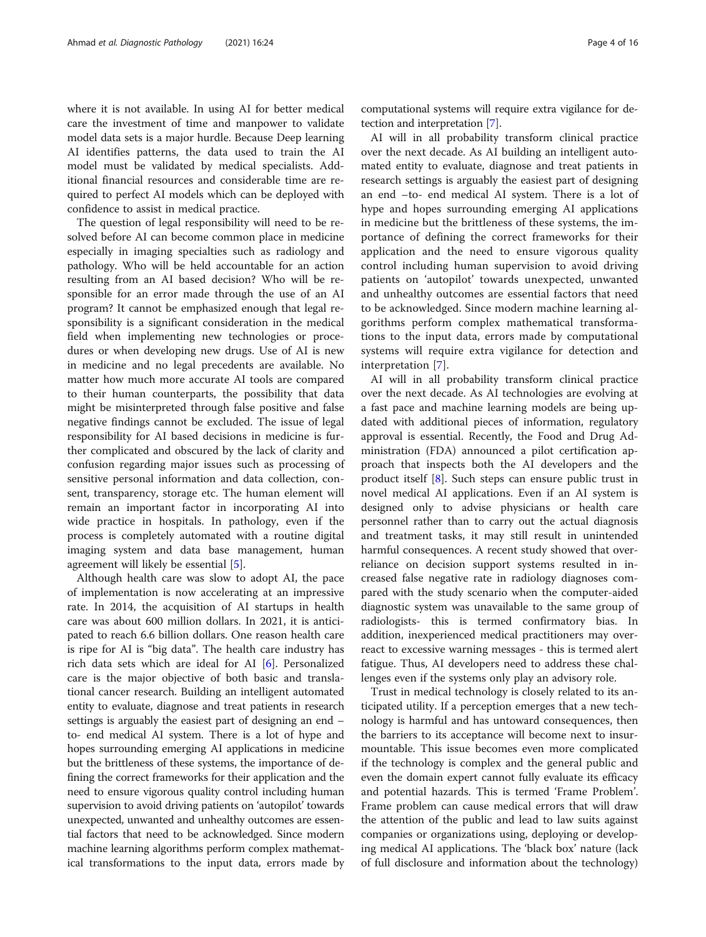where it is not available. In using AI for better medical care the investment of time and manpower to validate model data sets is a major hurdle. Because Deep learning AI identifies patterns, the data used to train the AI model must be validated by medical specialists. Additional financial resources and considerable time are required to perfect AI models which can be deployed with confidence to assist in medical practice.

The question of legal responsibility will need to be resolved before AI can become common place in medicine especially in imaging specialties such as radiology and pathology. Who will be held accountable for an action resulting from an AI based decision? Who will be responsible for an error made through the use of an AI program? It cannot be emphasized enough that legal responsibility is a significant consideration in the medical field when implementing new technologies or procedures or when developing new drugs. Use of AI is new in medicine and no legal precedents are available. No matter how much more accurate AI tools are compared to their human counterparts, the possibility that data might be misinterpreted through false positive and false negative findings cannot be excluded. The issue of legal responsibility for AI based decisions in medicine is further complicated and obscured by the lack of clarity and confusion regarding major issues such as processing of sensitive personal information and data collection, consent, transparency, storage etc. The human element will remain an important factor in incorporating AI into wide practice in hospitals. In pathology, even if the process is completely automated with a routine digital imaging system and data base management, human agreement will likely be essential [\[5](#page-14-0)].

Although health care was slow to adopt AI, the pace of implementation is now accelerating at an impressive rate. In 2014, the acquisition of AI startups in health care was about 600 million dollars. In 2021, it is anticipated to reach 6.6 billion dollars. One reason health care is ripe for AI is "big data". The health care industry has rich data sets which are ideal for AI [\[6](#page-14-0)]. Personalized care is the major objective of both basic and translational cancer research. Building an intelligent automated entity to evaluate, diagnose and treat patients in research settings is arguably the easiest part of designing an end – to- end medical AI system. There is a lot of hype and hopes surrounding emerging AI applications in medicine but the brittleness of these systems, the importance of defining the correct frameworks for their application and the need to ensure vigorous quality control including human supervision to avoid driving patients on 'autopilot' towards unexpected, unwanted and unhealthy outcomes are essential factors that need to be acknowledged. Since modern machine learning algorithms perform complex mathematical transformations to the input data, errors made by computational systems will require extra vigilance for detection and interpretation [\[7\]](#page-14-0).

AI will in all probability transform clinical practice over the next decade. As AI building an intelligent automated entity to evaluate, diagnose and treat patients in research settings is arguably the easiest part of designing an end –to- end medical AI system. There is a lot of hype and hopes surrounding emerging AI applications in medicine but the brittleness of these systems, the importance of defining the correct frameworks for their application and the need to ensure vigorous quality control including human supervision to avoid driving patients on 'autopilot' towards unexpected, unwanted and unhealthy outcomes are essential factors that need to be acknowledged. Since modern machine learning algorithms perform complex mathematical transformations to the input data, errors made by computational systems will require extra vigilance for detection and interpretation [[7\]](#page-14-0).

AI will in all probability transform clinical practice over the next decade. As AI technologies are evolving at a fast pace and machine learning models are being updated with additional pieces of information, regulatory approval is essential. Recently, the Food and Drug Administration (FDA) announced a pilot certification approach that inspects both the AI developers and the product itself [\[8](#page-14-0)]. Such steps can ensure public trust in novel medical AI applications. Even if an AI system is designed only to advise physicians or health care personnel rather than to carry out the actual diagnosis and treatment tasks, it may still result in unintended harmful consequences. A recent study showed that overreliance on decision support systems resulted in increased false negative rate in radiology diagnoses compared with the study scenario when the computer-aided diagnostic system was unavailable to the same group of radiologists- this is termed confirmatory bias. In addition, inexperienced medical practitioners may overreact to excessive warning messages - this is termed alert fatigue. Thus, AI developers need to address these challenges even if the systems only play an advisory role.

Trust in medical technology is closely related to its anticipated utility. If a perception emerges that a new technology is harmful and has untoward consequences, then the barriers to its acceptance will become next to insurmountable. This issue becomes even more complicated if the technology is complex and the general public and even the domain expert cannot fully evaluate its efficacy and potential hazards. This is termed 'Frame Problem'. Frame problem can cause medical errors that will draw the attention of the public and lead to law suits against companies or organizations using, deploying or developing medical AI applications. The 'black box' nature (lack of full disclosure and information about the technology)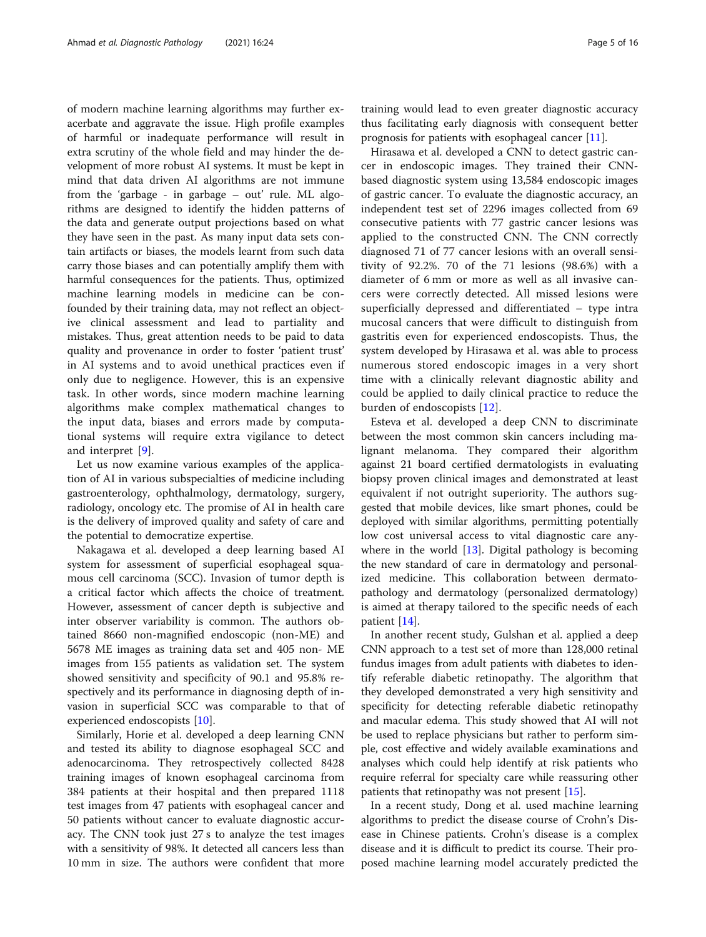of modern machine learning algorithms may further exacerbate and aggravate the issue. High profile examples of harmful or inadequate performance will result in extra scrutiny of the whole field and may hinder the development of more robust AI systems. It must be kept in mind that data driven AI algorithms are not immune from the 'garbage - in garbage – out' rule. ML algorithms are designed to identify the hidden patterns of the data and generate output projections based on what they have seen in the past. As many input data sets contain artifacts or biases, the models learnt from such data carry those biases and can potentially amplify them with harmful consequences for the patients. Thus, optimized machine learning models in medicine can be confounded by their training data, may not reflect an objective clinical assessment and lead to partiality and mistakes. Thus, great attention needs to be paid to data quality and provenance in order to foster 'patient trust' in AI systems and to avoid unethical practices even if only due to negligence. However, this is an expensive task. In other words, since modern machine learning algorithms make complex mathematical changes to the input data, biases and errors made by computational systems will require extra vigilance to detect and interpret [[9\]](#page-14-0).

Let us now examine various examples of the application of AI in various subspecialties of medicine including gastroenterology, ophthalmology, dermatology, surgery, radiology, oncology etc. The promise of AI in health care is the delivery of improved quality and safety of care and the potential to democratize expertise.

Nakagawa et al. developed a deep learning based AI system for assessment of superficial esophageal squamous cell carcinoma (SCC). Invasion of tumor depth is a critical factor which affects the choice of treatment. However, assessment of cancer depth is subjective and inter observer variability is common. The authors obtained 8660 non-magnified endoscopic (non-ME) and 5678 ME images as training data set and 405 non- ME images from 155 patients as validation set. The system showed sensitivity and specificity of 90.1 and 95.8% respectively and its performance in diagnosing depth of invasion in superficial SCC was comparable to that of experienced endoscopists [[10](#page-14-0)].

Similarly, Horie et al. developed a deep learning CNN and tested its ability to diagnose esophageal SCC and adenocarcinoma. They retrospectively collected 8428 training images of known esophageal carcinoma from 384 patients at their hospital and then prepared 1118 test images from 47 patients with esophageal cancer and 50 patients without cancer to evaluate diagnostic accuracy. The CNN took just 27 s to analyze the test images with a sensitivity of 98%. It detected all cancers less than 10 mm in size. The authors were confident that more

training would lead to even greater diagnostic accuracy thus facilitating early diagnosis with consequent better prognosis for patients with esophageal cancer [[11](#page-14-0)].

Hirasawa et al. developed a CNN to detect gastric cancer in endoscopic images. They trained their CNNbased diagnostic system using 13,584 endoscopic images of gastric cancer. To evaluate the diagnostic accuracy, an independent test set of 2296 images collected from 69 consecutive patients with 77 gastric cancer lesions was applied to the constructed CNN. The CNN correctly diagnosed 71 of 77 cancer lesions with an overall sensitivity of 92.2%. 70 of the 71 lesions (98.6%) with a diameter of 6 mm or more as well as all invasive cancers were correctly detected. All missed lesions were superficially depressed and differentiated – type intra mucosal cancers that were difficult to distinguish from gastritis even for experienced endoscopists. Thus, the system developed by Hirasawa et al. was able to process numerous stored endoscopic images in a very short time with a clinically relevant diagnostic ability and could be applied to daily clinical practice to reduce the burden of endoscopists [[12\]](#page-14-0).

Esteva et al. developed a deep CNN to discriminate between the most common skin cancers including malignant melanoma. They compared their algorithm against 21 board certified dermatologists in evaluating biopsy proven clinical images and demonstrated at least equivalent if not outright superiority. The authors suggested that mobile devices, like smart phones, could be deployed with similar algorithms, permitting potentially low cost universal access to vital diagnostic care anywhere in the world  $[13]$  $[13]$ . Digital pathology is becoming the new standard of care in dermatology and personalized medicine. This collaboration between dermatopathology and dermatology (personalized dermatology) is aimed at therapy tailored to the specific needs of each patient [\[14](#page-14-0)].

In another recent study, Gulshan et al. applied a deep CNN approach to a test set of more than 128,000 retinal fundus images from adult patients with diabetes to identify referable diabetic retinopathy. The algorithm that they developed demonstrated a very high sensitivity and specificity for detecting referable diabetic retinopathy and macular edema. This study showed that AI will not be used to replace physicians but rather to perform simple, cost effective and widely available examinations and analyses which could help identify at risk patients who require referral for specialty care while reassuring other patients that retinopathy was not present [\[15](#page-15-0)].

In a recent study, Dong et al. used machine learning algorithms to predict the disease course of Crohn's Disease in Chinese patients. Crohn's disease is a complex disease and it is difficult to predict its course. Their proposed machine learning model accurately predicted the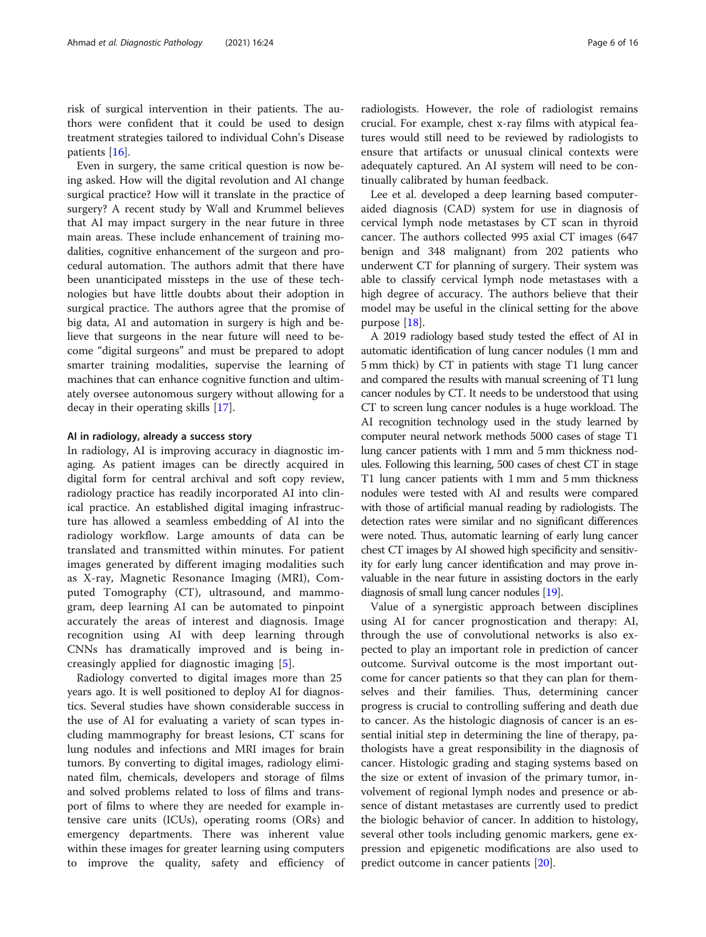risk of surgical intervention in their patients. The authors were confident that it could be used to design treatment strategies tailored to individual Cohn's Disease patients [[16\]](#page-15-0).

Even in surgery, the same critical question is now being asked. How will the digital revolution and AI change surgical practice? How will it translate in the practice of surgery? A recent study by Wall and Krummel believes that AI may impact surgery in the near future in three main areas. These include enhancement of training modalities, cognitive enhancement of the surgeon and procedural automation. The authors admit that there have been unanticipated missteps in the use of these technologies but have little doubts about their adoption in surgical practice. The authors agree that the promise of big data, AI and automation in surgery is high and believe that surgeons in the near future will need to become "digital surgeons" and must be prepared to adopt smarter training modalities, supervise the learning of machines that can enhance cognitive function and ultimately oversee autonomous surgery without allowing for a decay in their operating skills [\[17](#page-15-0)].

#### AI in radiology, already a success story

In radiology, AI is improving accuracy in diagnostic imaging. As patient images can be directly acquired in digital form for central archival and soft copy review, radiology practice has readily incorporated AI into clinical practice. An established digital imaging infrastructure has allowed a seamless embedding of AI into the radiology workflow. Large amounts of data can be translated and transmitted within minutes. For patient images generated by different imaging modalities such as X-ray, Magnetic Resonance Imaging (MRI), Computed Tomography (CT), ultrasound, and mammogram, deep learning AI can be automated to pinpoint accurately the areas of interest and diagnosis. Image recognition using AI with deep learning through CNNs has dramatically improved and is being increasingly applied for diagnostic imaging [\[5](#page-14-0)].

Radiology converted to digital images more than 25 years ago. It is well positioned to deploy AI for diagnostics. Several studies have shown considerable success in the use of AI for evaluating a variety of scan types including mammography for breast lesions, CT scans for lung nodules and infections and MRI images for brain tumors. By converting to digital images, radiology eliminated film, chemicals, developers and storage of films and solved problems related to loss of films and transport of films to where they are needed for example intensive care units (ICUs), operating rooms (ORs) and emergency departments. There was inherent value within these images for greater learning using computers to improve the quality, safety and efficiency of radiologists. However, the role of radiologist remains crucial. For example, chest x-ray films with atypical features would still need to be reviewed by radiologists to ensure that artifacts or unusual clinical contexts were adequately captured. An AI system will need to be continually calibrated by human feedback.

Lee et al. developed a deep learning based computeraided diagnosis (CAD) system for use in diagnosis of cervical lymph node metastases by CT scan in thyroid cancer. The authors collected 995 axial CT images (647 benign and 348 malignant) from 202 patients who underwent CT for planning of surgery. Their system was able to classify cervical lymph node metastases with a high degree of accuracy. The authors believe that their model may be useful in the clinical setting for the above purpose [[18](#page-15-0)].

A 2019 radiology based study tested the effect of AI in automatic identification of lung cancer nodules (1 mm and 5 mm thick) by CT in patients with stage T1 lung cancer and compared the results with manual screening of T1 lung cancer nodules by CT. It needs to be understood that using CT to screen lung cancer nodules is a huge workload. The AI recognition technology used in the study learned by computer neural network methods 5000 cases of stage T1 lung cancer patients with 1 mm and 5 mm thickness nodules. Following this learning, 500 cases of chest CT in stage T1 lung cancer patients with 1 mm and 5 mm thickness nodules were tested with AI and results were compared with those of artificial manual reading by radiologists. The detection rates were similar and no significant differences were noted. Thus, automatic learning of early lung cancer chest CT images by AI showed high specificity and sensitivity for early lung cancer identification and may prove invaluable in the near future in assisting doctors in the early diagnosis of small lung cancer nodules [[19](#page-15-0)].

Value of a synergistic approach between disciplines using AI for cancer prognostication and therapy: AI, through the use of convolutional networks is also expected to play an important role in prediction of cancer outcome. Survival outcome is the most important outcome for cancer patients so that they can plan for themselves and their families. Thus, determining cancer progress is crucial to controlling suffering and death due to cancer. As the histologic diagnosis of cancer is an essential initial step in determining the line of therapy, pathologists have a great responsibility in the diagnosis of cancer. Histologic grading and staging systems based on the size or extent of invasion of the primary tumor, involvement of regional lymph nodes and presence or absence of distant metastases are currently used to predict the biologic behavior of cancer. In addition to histology, several other tools including genomic markers, gene expression and epigenetic modifications are also used to predict outcome in cancer patients [[20\]](#page-15-0).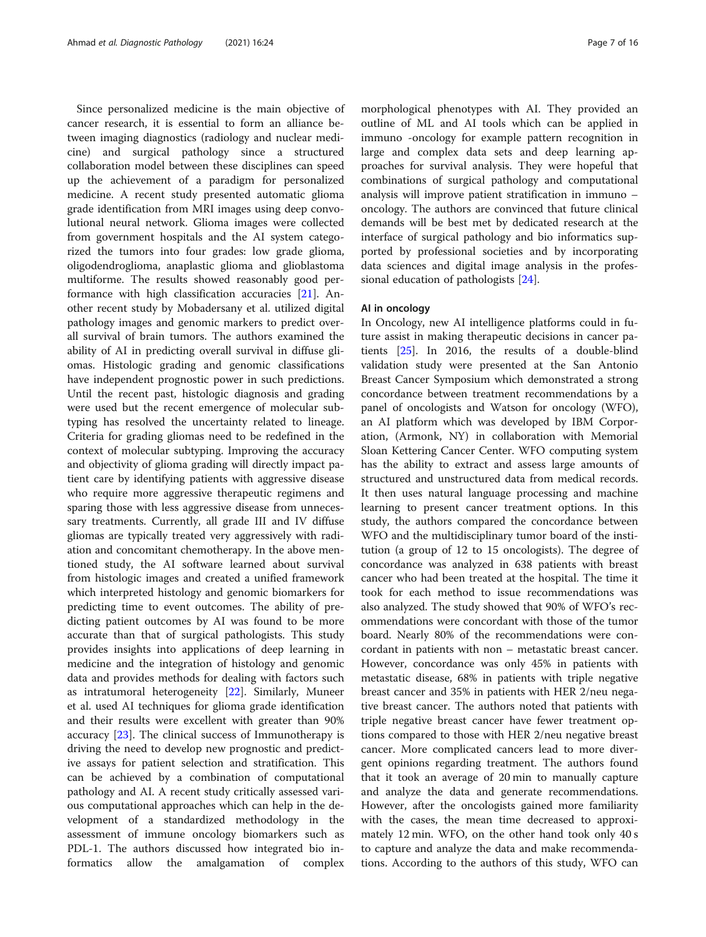Since personalized medicine is the main objective of cancer research, it is essential to form an alliance between imaging diagnostics (radiology and nuclear medicine) and surgical pathology since a structured collaboration model between these disciplines can speed up the achievement of a paradigm for personalized medicine. A recent study presented automatic glioma grade identification from MRI images using deep convolutional neural network. Glioma images were collected from government hospitals and the AI system categorized the tumors into four grades: low grade glioma, oligodendroglioma, anaplastic glioma and glioblastoma multiforme. The results showed reasonably good performance with high classification accuracies [\[21](#page-15-0)]. Another recent study by Mobadersany et al. utilized digital pathology images and genomic markers to predict overall survival of brain tumors. The authors examined the ability of AI in predicting overall survival in diffuse gliomas. Histologic grading and genomic classifications have independent prognostic power in such predictions. Until the recent past, histologic diagnosis and grading were used but the recent emergence of molecular subtyping has resolved the uncertainty related to lineage. Criteria for grading gliomas need to be redefined in the context of molecular subtyping. Improving the accuracy and objectivity of glioma grading will directly impact patient care by identifying patients with aggressive disease who require more aggressive therapeutic regimens and sparing those with less aggressive disease from unnecessary treatments. Currently, all grade III and IV diffuse gliomas are typically treated very aggressively with radiation and concomitant chemotherapy. In the above mentioned study, the AI software learned about survival from histologic images and created a unified framework which interpreted histology and genomic biomarkers for predicting time to event outcomes. The ability of predicting patient outcomes by AI was found to be more accurate than that of surgical pathologists. This study provides insights into applications of deep learning in medicine and the integration of histology and genomic data and provides methods for dealing with factors such as intratumoral heterogeneity [[22\]](#page-15-0). Similarly, Muneer et al. used AI techniques for glioma grade identification and their results were excellent with greater than 90% accuracy [[23\]](#page-15-0). The clinical success of Immunotherapy is driving the need to develop new prognostic and predictive assays for patient selection and stratification. This can be achieved by a combination of computational pathology and AI. A recent study critically assessed various computational approaches which can help in the development of a standardized methodology in the assessment of immune oncology biomarkers such as PDL-1. The authors discussed how integrated bio informatics allow the amalgamation of complex morphological phenotypes with AI. They provided an outline of ML and AI tools which can be applied in immuno -oncology for example pattern recognition in large and complex data sets and deep learning approaches for survival analysis. They were hopeful that combinations of surgical pathology and computational analysis will improve patient stratification in immuno – oncology. The authors are convinced that future clinical demands will be best met by dedicated research at the interface of surgical pathology and bio informatics supported by professional societies and by incorporating data sciences and digital image analysis in the professional education of pathologists [\[24](#page-15-0)].

# AI in oncology

In Oncology, new AI intelligence platforms could in future assist in making therapeutic decisions in cancer patients [[25\]](#page-15-0). In 2016, the results of a double-blind validation study were presented at the San Antonio Breast Cancer Symposium which demonstrated a strong concordance between treatment recommendations by a panel of oncologists and Watson for oncology (WFO), an AI platform which was developed by IBM Corporation, (Armonk, NY) in collaboration with Memorial Sloan Kettering Cancer Center. WFO computing system has the ability to extract and assess large amounts of structured and unstructured data from medical records. It then uses natural language processing and machine learning to present cancer treatment options. In this study, the authors compared the concordance between WFO and the multidisciplinary tumor board of the institution (a group of 12 to 15 oncologists). The degree of concordance was analyzed in 638 patients with breast cancer who had been treated at the hospital. The time it took for each method to issue recommendations was also analyzed. The study showed that 90% of WFO's recommendations were concordant with those of the tumor board. Nearly 80% of the recommendations were concordant in patients with non – metastatic breast cancer. However, concordance was only 45% in patients with metastatic disease, 68% in patients with triple negative breast cancer and 35% in patients with HER 2/neu negative breast cancer. The authors noted that patients with triple negative breast cancer have fewer treatment options compared to those with HER 2/neu negative breast cancer. More complicated cancers lead to more divergent opinions regarding treatment. The authors found that it took an average of 20 min to manually capture and analyze the data and generate recommendations. However, after the oncologists gained more familiarity with the cases, the mean time decreased to approximately 12 min. WFO, on the other hand took only 40 s to capture and analyze the data and make recommendations. According to the authors of this study, WFO can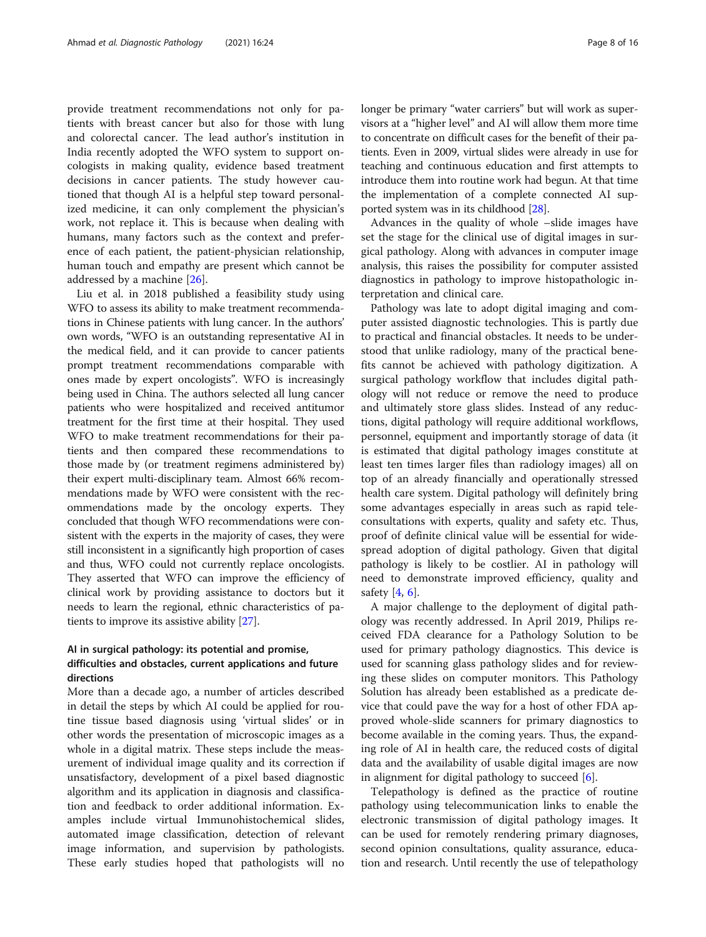provide treatment recommendations not only for patients with breast cancer but also for those with lung and colorectal cancer. The lead author's institution in India recently adopted the WFO system to support oncologists in making quality, evidence based treatment decisions in cancer patients. The study however cautioned that though AI is a helpful step toward personalized medicine, it can only complement the physician's work, not replace it. This is because when dealing with humans, many factors such as the context and preference of each patient, the patient-physician relationship, human touch and empathy are present which cannot be addressed by a machine [\[26](#page-15-0)].

Liu et al. in 2018 published a feasibility study using WFO to assess its ability to make treatment recommendations in Chinese patients with lung cancer. In the authors' own words, "WFO is an outstanding representative AI in the medical field, and it can provide to cancer patients prompt treatment recommendations comparable with ones made by expert oncologists". WFO is increasingly being used in China. The authors selected all lung cancer patients who were hospitalized and received antitumor treatment for the first time at their hospital. They used WFO to make treatment recommendations for their patients and then compared these recommendations to those made by (or treatment regimens administered by) their expert multi-disciplinary team. Almost 66% recommendations made by WFO were consistent with the recommendations made by the oncology experts. They concluded that though WFO recommendations were consistent with the experts in the majority of cases, they were still inconsistent in a significantly high proportion of cases and thus, WFO could not currently replace oncologists. They asserted that WFO can improve the efficiency of clinical work by providing assistance to doctors but it needs to learn the regional, ethnic characteristics of patients to improve its assistive ability [\[27\]](#page-15-0).

# AI in surgical pathology: its potential and promise, difficulties and obstacles, current applications and future directions

More than a decade ago, a number of articles described in detail the steps by which AI could be applied for routine tissue based diagnosis using 'virtual slides' or in other words the presentation of microscopic images as a whole in a digital matrix. These steps include the measurement of individual image quality and its correction if unsatisfactory, development of a pixel based diagnostic algorithm and its application in diagnosis and classification and feedback to order additional information. Examples include virtual Immunohistochemical slides, automated image classification, detection of relevant image information, and supervision by pathologists. These early studies hoped that pathologists will no longer be primary "water carriers" but will work as supervisors at a "higher level" and AI will allow them more time to concentrate on difficult cases for the benefit of their patients. Even in 2009, virtual slides were already in use for teaching and continuous education and first attempts to introduce them into routine work had begun. At that time the implementation of a complete connected AI supported system was in its childhood [[28\]](#page-15-0).

Advances in the quality of whole –slide images have set the stage for the clinical use of digital images in surgical pathology. Along with advances in computer image analysis, this raises the possibility for computer assisted diagnostics in pathology to improve histopathologic interpretation and clinical care.

Pathology was late to adopt digital imaging and computer assisted diagnostic technologies. This is partly due to practical and financial obstacles. It needs to be understood that unlike radiology, many of the practical benefits cannot be achieved with pathology digitization. A surgical pathology workflow that includes digital pathology will not reduce or remove the need to produce and ultimately store glass slides. Instead of any reductions, digital pathology will require additional workflows, personnel, equipment and importantly storage of data (it is estimated that digital pathology images constitute at least ten times larger files than radiology images) all on top of an already financially and operationally stressed health care system. Digital pathology will definitely bring some advantages especially in areas such as rapid teleconsultations with experts, quality and safety etc. Thus, proof of definite clinical value will be essential for widespread adoption of digital pathology. Given that digital pathology is likely to be costlier. AI in pathology will need to demonstrate improved efficiency, quality and safety  $[4, 6]$  $[4, 6]$  $[4, 6]$  $[4, 6]$ .

A major challenge to the deployment of digital pathology was recently addressed. In April 2019, Philips received FDA clearance for a Pathology Solution to be used for primary pathology diagnostics. This device is used for scanning glass pathology slides and for reviewing these slides on computer monitors. This Pathology Solution has already been established as a predicate device that could pave the way for a host of other FDA approved whole-slide scanners for primary diagnostics to become available in the coming years. Thus, the expanding role of AI in health care, the reduced costs of digital data and the availability of usable digital images are now in alignment for digital pathology to succeed [\[6](#page-14-0)].

Telepathology is defined as the practice of routine pathology using telecommunication links to enable the electronic transmission of digital pathology images. It can be used for remotely rendering primary diagnoses, second opinion consultations, quality assurance, education and research. Until recently the use of telepathology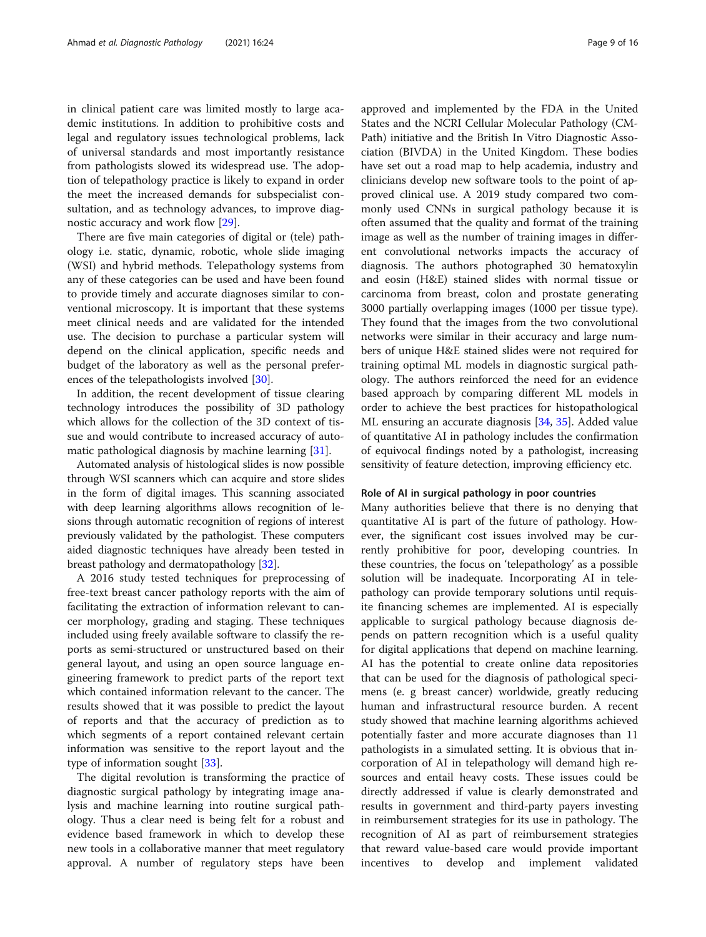in clinical patient care was limited mostly to large academic institutions. In addition to prohibitive costs and legal and regulatory issues technological problems, lack of universal standards and most importantly resistance from pathologists slowed its widespread use. The adoption of telepathology practice is likely to expand in order the meet the increased demands for subspecialist consultation, and as technology advances, to improve diagnostic accuracy and work flow [\[29](#page-15-0)].

There are five main categories of digital or (tele) pathology i.e. static, dynamic, robotic, whole slide imaging (WSI) and hybrid methods. Telepathology systems from any of these categories can be used and have been found to provide timely and accurate diagnoses similar to conventional microscopy. It is important that these systems meet clinical needs and are validated for the intended use. The decision to purchase a particular system will depend on the clinical application, specific needs and budget of the laboratory as well as the personal preferences of the telepathologists involved [\[30](#page-15-0)].

In addition, the recent development of tissue clearing technology introduces the possibility of 3D pathology which allows for the collection of the 3D context of tissue and would contribute to increased accuracy of automatic pathological diagnosis by machine learning [[31](#page-15-0)].

Automated analysis of histological slides is now possible through WSI scanners which can acquire and store slides in the form of digital images. This scanning associated with deep learning algorithms allows recognition of lesions through automatic recognition of regions of interest previously validated by the pathologist. These computers aided diagnostic techniques have already been tested in breast pathology and dermatopathology [\[32\]](#page-15-0).

A 2016 study tested techniques for preprocessing of free-text breast cancer pathology reports with the aim of facilitating the extraction of information relevant to cancer morphology, grading and staging. These techniques included using freely available software to classify the reports as semi-structured or unstructured based on their general layout, and using an open source language engineering framework to predict parts of the report text which contained information relevant to the cancer. The results showed that it was possible to predict the layout of reports and that the accuracy of prediction as to which segments of a report contained relevant certain information was sensitive to the report layout and the type of information sought [[33](#page-15-0)].

The digital revolution is transforming the practice of diagnostic surgical pathology by integrating image analysis and machine learning into routine surgical pathology. Thus a clear need is being felt for a robust and evidence based framework in which to develop these new tools in a collaborative manner that meet regulatory approval. A number of regulatory steps have been approved and implemented by the FDA in the United States and the NCRI Cellular Molecular Pathology (CM-Path) initiative and the British In Vitro Diagnostic Association (BIVDA) in the United Kingdom. These bodies have set out a road map to help academia, industry and clinicians develop new software tools to the point of approved clinical use. A 2019 study compared two commonly used CNNs in surgical pathology because it is often assumed that the quality and format of the training image as well as the number of training images in different convolutional networks impacts the accuracy of diagnosis. The authors photographed 30 hematoxylin and eosin (H&E) stained slides with normal tissue or carcinoma from breast, colon and prostate generating 3000 partially overlapping images (1000 per tissue type). They found that the images from the two convolutional networks were similar in their accuracy and large numbers of unique H&E stained slides were not required for training optimal ML models in diagnostic surgical pathology. The authors reinforced the need for an evidence based approach by comparing different ML models in order to achieve the best practices for histopathological ML ensuring an accurate diagnosis [\[34](#page-15-0), [35](#page-15-0)]. Added value of quantitative AI in pathology includes the confirmation of equivocal findings noted by a pathologist, increasing sensitivity of feature detection, improving efficiency etc.

#### Role of AI in surgical pathology in poor countries

Many authorities believe that there is no denying that quantitative AI is part of the future of pathology. However, the significant cost issues involved may be currently prohibitive for poor, developing countries. In these countries, the focus on 'telepathology' as a possible solution will be inadequate. Incorporating AI in telepathology can provide temporary solutions until requisite financing schemes are implemented. AI is especially applicable to surgical pathology because diagnosis depends on pattern recognition which is a useful quality for digital applications that depend on machine learning. AI has the potential to create online data repositories that can be used for the diagnosis of pathological specimens (e. g breast cancer) worldwide, greatly reducing human and infrastructural resource burden. A recent study showed that machine learning algorithms achieved potentially faster and more accurate diagnoses than 11 pathologists in a simulated setting. It is obvious that incorporation of AI in telepathology will demand high resources and entail heavy costs. These issues could be directly addressed if value is clearly demonstrated and results in government and third-party payers investing in reimbursement strategies for its use in pathology. The recognition of AI as part of reimbursement strategies that reward value-based care would provide important incentives to develop and implement validated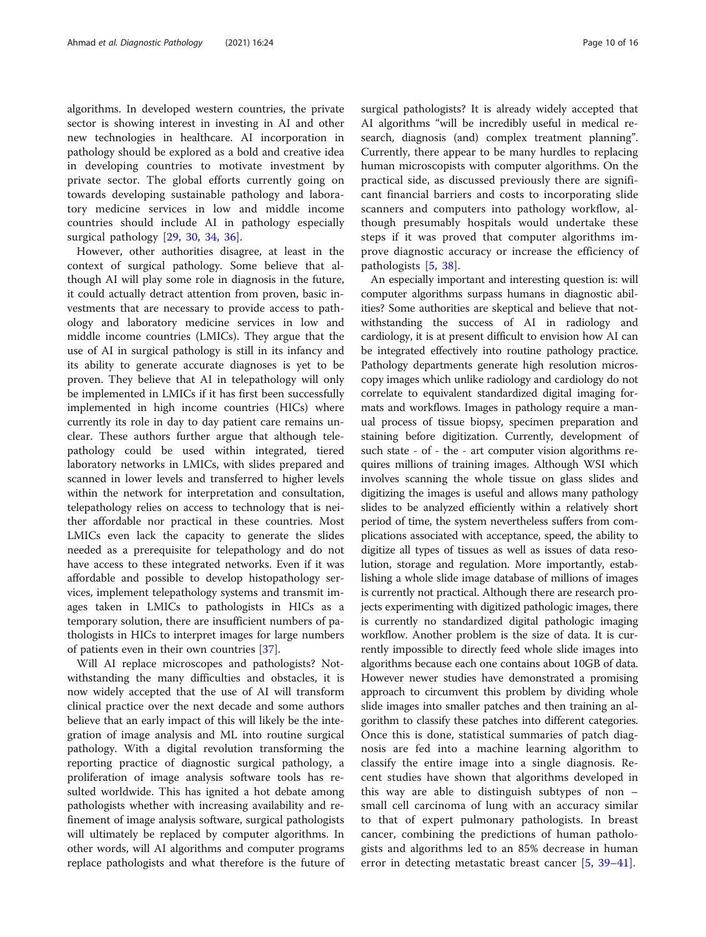algorithms. In developed western countries, the private sector is showing interest in investing in AI and other new technologies in healthcare. AI incorporation in pathology should be explored as a bold and creative idea in developing countries to motivate investment by private sector. The global efforts currently going on towards developing sustainable pathology and laboratory medicine services in low and middle income countries should include AI in pathology especially surgical pathology [[29,](#page-15-0) [30,](#page-15-0) [34](#page-15-0), [36](#page-15-0)].

However, other authorities disagree, at least in the context of surgical pathology. Some believe that although AI will play some role in diagnosis in the future, it could actually detract attention from proven, basic investments that are necessary to provide access to pathology and laboratory medicine services in low and middle income countries (LMICs). They argue that the use of AI in surgical pathology is still in its infancy and its ability to generate accurate diagnoses is yet to be proven. They believe that AI in telepathology will only be implemented in LMICs if it has first been successfully implemented in high income countries (HICs) where currently its role in day to day patient care remains unclear. These authors further argue that although telepathology could be used within integrated, tiered laboratory networks in LMICs, with slides prepared and scanned in lower levels and transferred to higher levels within the network for interpretation and consultation, telepathology relies on access to technology that is neither affordable nor practical in these countries. Most LMICs even lack the capacity to generate the slides needed as a prerequisite for telepathology and do not have access to these integrated networks. Even if it was affordable and possible to develop histopathology services, implement telepathology systems and transmit images taken in LMICs to pathologists in HICs as a temporary solution, there are insufficient numbers of pathologists in HICs to interpret images for large numbers of patients even in their own countries [[37](#page-15-0)].

Will AI replace microscopes and pathologists? Notwithstanding the many difficulties and obstacles, it is now widely accepted that the use of AI will transform clinical practice over the next decade and some authors believe that an early impact of this will likely be the integration of image analysis and ML into routine surgical pathology. With a digital revolution transforming the reporting practice of diagnostic surgical pathology, a proliferation of image analysis software tools has resulted worldwide. This has ignited a hot debate among pathologists whether with increasing availability and refinement of image analysis software, surgical pathologists will ultimately be replaced by computer algorithms. In other words, will AI algorithms and computer programs replace pathologists and what therefore is the future of surgical pathologists? It is already widely accepted that AI algorithms "will be incredibly useful in medical research, diagnosis (and) complex treatment planning". Currently, there appear to be many hurdles to replacing human microscopists with computer algorithms. On the practical side, as discussed previously there are significant financial barriers and costs to incorporating slide scanners and computers into pathology workflow, although presumably hospitals would undertake these steps if it was proved that computer algorithms improve diagnostic accuracy or increase the efficiency of pathologists [[5,](#page-14-0) [38](#page-15-0)].

An especially important and interesting question is: will computer algorithms surpass humans in diagnostic abilities? Some authorities are skeptical and believe that notwithstanding the success of AI in radiology and cardiology, it is at present difficult to envision how AI can be integrated effectively into routine pathology practice. Pathology departments generate high resolution microscopy images which unlike radiology and cardiology do not correlate to equivalent standardized digital imaging formats and workflows. Images in pathology require a manual process of tissue biopsy, specimen preparation and staining before digitization. Currently, development of such state - of - the - art computer vision algorithms requires millions of training images. Although WSI which involves scanning the whole tissue on glass slides and digitizing the images is useful and allows many pathology slides to be analyzed efficiently within a relatively short period of time, the system nevertheless suffers from complications associated with acceptance, speed, the ability to digitize all types of tissues as well as issues of data resolution, storage and regulation. More importantly, establishing a whole slide image database of millions of images is currently not practical. Although there are research projects experimenting with digitized pathologic images, there is currently no standardized digital pathologic imaging workflow. Another problem is the size of data. It is currently impossible to directly feed whole slide images into algorithms because each one contains about 10GB of data. However newer studies have demonstrated a promising approach to circumvent this problem by dividing whole slide images into smaller patches and then training an algorithm to classify these patches into different categories. Once this is done, statistical summaries of patch diagnosis are fed into a machine learning algorithm to classify the entire image into a single diagnosis. Recent studies have shown that algorithms developed in this way are able to distinguish subtypes of non – small cell carcinoma of lung with an accuracy similar to that of expert pulmonary pathologists. In breast cancer, combining the predictions of human pathologists and algorithms led to an 85% decrease in human error in detecting metastatic breast cancer [[5,](#page-14-0) [39](#page-15-0)–[41\]](#page-15-0).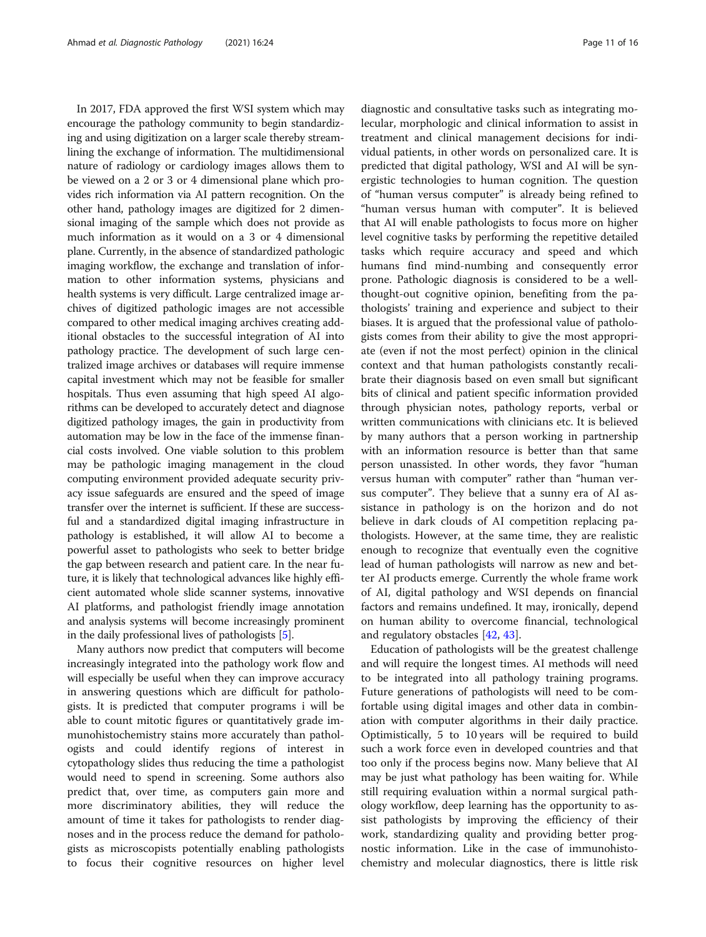In 2017, FDA approved the first WSI system which may encourage the pathology community to begin standardizing and using digitization on a larger scale thereby streamlining the exchange of information. The multidimensional nature of radiology or cardiology images allows them to be viewed on a 2 or 3 or 4 dimensional plane which provides rich information via AI pattern recognition. On the other hand, pathology images are digitized for 2 dimensional imaging of the sample which does not provide as much information as it would on a 3 or 4 dimensional plane. Currently, in the absence of standardized pathologic imaging workflow, the exchange and translation of information to other information systems, physicians and health systems is very difficult. Large centralized image archives of digitized pathologic images are not accessible compared to other medical imaging archives creating additional obstacles to the successful integration of AI into pathology practice. The development of such large centralized image archives or databases will require immense capital investment which may not be feasible for smaller hospitals. Thus even assuming that high speed AI algorithms can be developed to accurately detect and diagnose digitized pathology images, the gain in productivity from automation may be low in the face of the immense financial costs involved. One viable solution to this problem may be pathologic imaging management in the cloud computing environment provided adequate security privacy issue safeguards are ensured and the speed of image transfer over the internet is sufficient. If these are successful and a standardized digital imaging infrastructure in pathology is established, it will allow AI to become a powerful asset to pathologists who seek to better bridge the gap between research and patient care. In the near future, it is likely that technological advances like highly efficient automated whole slide scanner systems, innovative AI platforms, and pathologist friendly image annotation and analysis systems will become increasingly prominent in the daily professional lives of pathologists [\[5\]](#page-14-0).

Many authors now predict that computers will become increasingly integrated into the pathology work flow and will especially be useful when they can improve accuracy in answering questions which are difficult for pathologists. It is predicted that computer programs i will be able to count mitotic figures or quantitatively grade immunohistochemistry stains more accurately than pathologists and could identify regions of interest in cytopathology slides thus reducing the time a pathologist would need to spend in screening. Some authors also predict that, over time, as computers gain more and more discriminatory abilities, they will reduce the amount of time it takes for pathologists to render diagnoses and in the process reduce the demand for pathologists as microscopists potentially enabling pathologists to focus their cognitive resources on higher level

diagnostic and consultative tasks such as integrating molecular, morphologic and clinical information to assist in treatment and clinical management decisions for individual patients, in other words on personalized care. It is predicted that digital pathology, WSI and AI will be synergistic technologies to human cognition. The question of "human versus computer" is already being refined to "human versus human with computer". It is believed that AI will enable pathologists to focus more on higher level cognitive tasks by performing the repetitive detailed tasks which require accuracy and speed and which humans find mind-numbing and consequently error prone. Pathologic diagnosis is considered to be a wellthought-out cognitive opinion, benefiting from the pathologists' training and experience and subject to their biases. It is argued that the professional value of pathologists comes from their ability to give the most appropriate (even if not the most perfect) opinion in the clinical context and that human pathologists constantly recalibrate their diagnosis based on even small but significant bits of clinical and patient specific information provided through physician notes, pathology reports, verbal or written communications with clinicians etc. It is believed by many authors that a person working in partnership with an information resource is better than that same person unassisted. In other words, they favor "human versus human with computer" rather than "human versus computer". They believe that a sunny era of AI assistance in pathology is on the horizon and do not believe in dark clouds of AI competition replacing pathologists. However, at the same time, they are realistic enough to recognize that eventually even the cognitive lead of human pathologists will narrow as new and better AI products emerge. Currently the whole frame work of AI, digital pathology and WSI depends on financial factors and remains undefined. It may, ironically, depend on human ability to overcome financial, technological and regulatory obstacles [[42,](#page-15-0) [43\]](#page-15-0).

Education of pathologists will be the greatest challenge and will require the longest times. AI methods will need to be integrated into all pathology training programs. Future generations of pathologists will need to be comfortable using digital images and other data in combination with computer algorithms in their daily practice. Optimistically, 5 to 10 years will be required to build such a work force even in developed countries and that too only if the process begins now. Many believe that AI may be just what pathology has been waiting for. While still requiring evaluation within a normal surgical pathology workflow, deep learning has the opportunity to assist pathologists by improving the efficiency of their work, standardizing quality and providing better prognostic information. Like in the case of immunohistochemistry and molecular diagnostics, there is little risk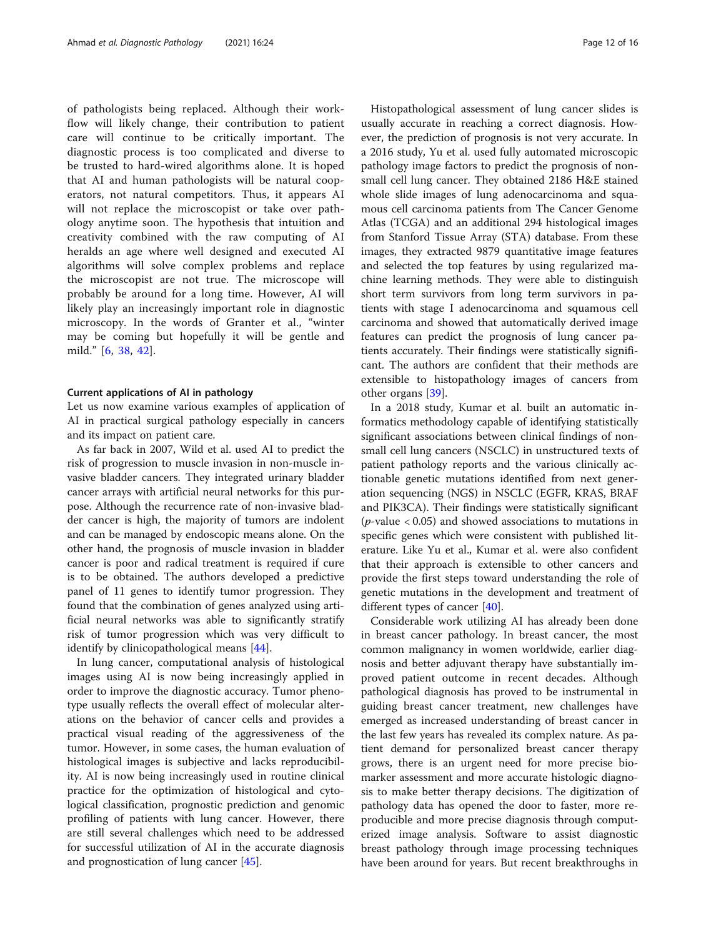of pathologists being replaced. Although their workflow will likely change, their contribution to patient care will continue to be critically important. The diagnostic process is too complicated and diverse to be trusted to hard-wired algorithms alone. It is hoped that AI and human pathologists will be natural cooperators, not natural competitors. Thus, it appears AI will not replace the microscopist or take over pathology anytime soon. The hypothesis that intuition and creativity combined with the raw computing of AI heralds an age where well designed and executed AI algorithms will solve complex problems and replace the microscopist are not true. The microscope will probably be around for a long time. However, AI will likely play an increasingly important role in diagnostic microscopy. In the words of Granter et al., "winter may be coming but hopefully it will be gentle and mild." [[6,](#page-14-0) [38,](#page-15-0) [42\]](#page-15-0).

## Current applications of AI in pathology

Let us now examine various examples of application of AI in practical surgical pathology especially in cancers and its impact on patient care.

As far back in 2007, Wild et al. used AI to predict the risk of progression to muscle invasion in non-muscle invasive bladder cancers. They integrated urinary bladder cancer arrays with artificial neural networks for this purpose. Although the recurrence rate of non-invasive bladder cancer is high, the majority of tumors are indolent and can be managed by endoscopic means alone. On the other hand, the prognosis of muscle invasion in bladder cancer is poor and radical treatment is required if cure is to be obtained. The authors developed a predictive panel of 11 genes to identify tumor progression. They found that the combination of genes analyzed using artificial neural networks was able to significantly stratify risk of tumor progression which was very difficult to identify by clinicopathological means [\[44](#page-15-0)].

In lung cancer, computational analysis of histological images using AI is now being increasingly applied in order to improve the diagnostic accuracy. Tumor phenotype usually reflects the overall effect of molecular alterations on the behavior of cancer cells and provides a practical visual reading of the aggressiveness of the tumor. However, in some cases, the human evaluation of histological images is subjective and lacks reproducibility. AI is now being increasingly used in routine clinical practice for the optimization of histological and cytological classification, prognostic prediction and genomic profiling of patients with lung cancer. However, there are still several challenges which need to be addressed for successful utilization of AI in the accurate diagnosis and prognostication of lung cancer [\[45\]](#page-15-0).

Histopathological assessment of lung cancer slides is usually accurate in reaching a correct diagnosis. However, the prediction of prognosis is not very accurate. In a 2016 study, Yu et al. used fully automated microscopic pathology image factors to predict the prognosis of nonsmall cell lung cancer. They obtained 2186 H&E stained whole slide images of lung adenocarcinoma and squamous cell carcinoma patients from The Cancer Genome Atlas (TCGA) and an additional 294 histological images from Stanford Tissue Array (STA) database. From these images, they extracted 9879 quantitative image features and selected the top features by using regularized machine learning methods. They were able to distinguish short term survivors from long term survivors in patients with stage I adenocarcinoma and squamous cell carcinoma and showed that automatically derived image features can predict the prognosis of lung cancer patients accurately. Their findings were statistically significant. The authors are confident that their methods are extensible to histopathology images of cancers from other organs [[39](#page-15-0)].

In a 2018 study, Kumar et al. built an automatic informatics methodology capable of identifying statistically significant associations between clinical findings of nonsmall cell lung cancers (NSCLC) in unstructured texts of patient pathology reports and the various clinically actionable genetic mutations identified from next generation sequencing (NGS) in NSCLC (EGFR, KRAS, BRAF and PIK3CA). Their findings were statistically significant ( $p$ -value < 0.05) and showed associations to mutations in specific genes which were consistent with published literature. Like Yu et al., Kumar et al. were also confident that their approach is extensible to other cancers and provide the first steps toward understanding the role of genetic mutations in the development and treatment of different types of cancer [[40\]](#page-15-0).

Considerable work utilizing AI has already been done in breast cancer pathology. In breast cancer, the most common malignancy in women worldwide, earlier diagnosis and better adjuvant therapy have substantially improved patient outcome in recent decades. Although pathological diagnosis has proved to be instrumental in guiding breast cancer treatment, new challenges have emerged as increased understanding of breast cancer in the last few years has revealed its complex nature. As patient demand for personalized breast cancer therapy grows, there is an urgent need for more precise biomarker assessment and more accurate histologic diagnosis to make better therapy decisions. The digitization of pathology data has opened the door to faster, more reproducible and more precise diagnosis through computerized image analysis. Software to assist diagnostic breast pathology through image processing techniques have been around for years. But recent breakthroughs in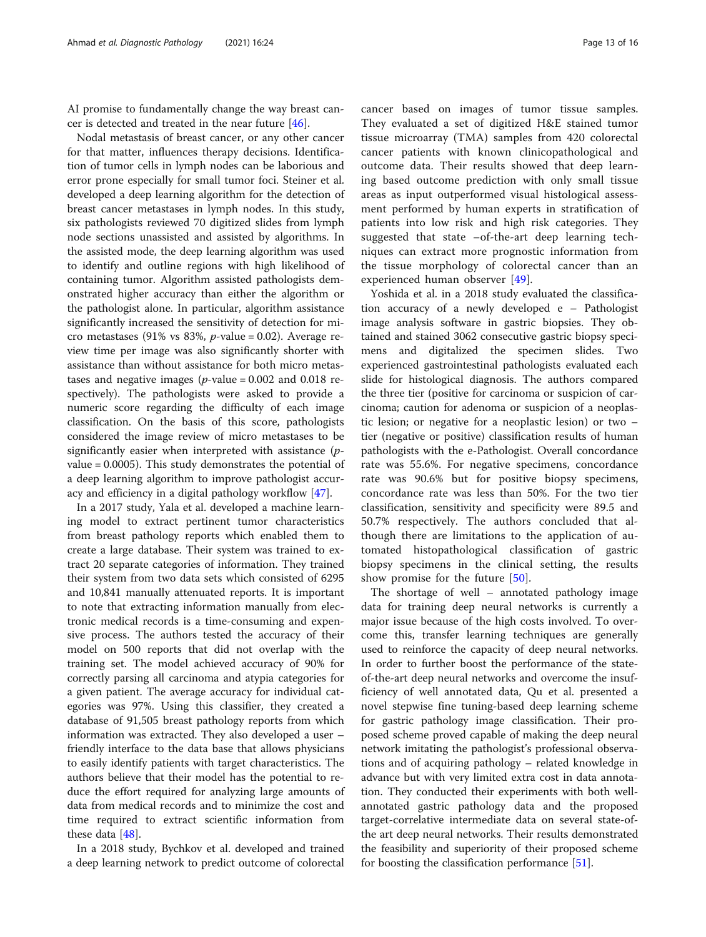AI promise to fundamentally change the way breast cancer is detected and treated in the near future [\[46](#page-15-0)].

Nodal metastasis of breast cancer, or any other cancer for that matter, influences therapy decisions. Identification of tumor cells in lymph nodes can be laborious and error prone especially for small tumor foci. Steiner et al. developed a deep learning algorithm for the detection of breast cancer metastases in lymph nodes. In this study, six pathologists reviewed 70 digitized slides from lymph node sections unassisted and assisted by algorithms. In the assisted mode, the deep learning algorithm was used to identify and outline regions with high likelihood of containing tumor. Algorithm assisted pathologists demonstrated higher accuracy than either the algorithm or the pathologist alone. In particular, algorithm assistance significantly increased the sensitivity of detection for micro metastases (91% vs 83%,  $p$ -value = 0.02). Average review time per image was also significantly shorter with assistance than without assistance for both micro metastases and negative images ( $p$ -value = 0.002 and 0.018 respectively). The pathologists were asked to provide a numeric score regarding the difficulty of each image classification. On the basis of this score, pathologists considered the image review of micro metastases to be significantly easier when interpreted with assistance (pvalue = 0.0005). This study demonstrates the potential of a deep learning algorithm to improve pathologist accuracy and efficiency in a digital pathology workflow [\[47](#page-15-0)].

In a 2017 study, Yala et al. developed a machine learning model to extract pertinent tumor characteristics from breast pathology reports which enabled them to create a large database. Their system was trained to extract 20 separate categories of information. They trained their system from two data sets which consisted of 6295 and 10,841 manually attenuated reports. It is important to note that extracting information manually from electronic medical records is a time-consuming and expensive process. The authors tested the accuracy of their model on 500 reports that did not overlap with the training set. The model achieved accuracy of 90% for correctly parsing all carcinoma and atypia categories for a given patient. The average accuracy for individual categories was 97%. Using this classifier, they created a database of 91,505 breast pathology reports from which information was extracted. They also developed a user – friendly interface to the data base that allows physicians to easily identify patients with target characteristics. The authors believe that their model has the potential to reduce the effort required for analyzing large amounts of data from medical records and to minimize the cost and time required to extract scientific information from these data [[48\]](#page-15-0).

In a 2018 study, Bychkov et al. developed and trained a deep learning network to predict outcome of colorectal

cancer based on images of tumor tissue samples. They evaluated a set of digitized H&E stained tumor tissue microarray (TMA) samples from 420 colorectal cancer patients with known clinicopathological and outcome data. Their results showed that deep learning based outcome prediction with only small tissue areas as input outperformed visual histological assessment performed by human experts in stratification of patients into low risk and high risk categories. They suggested that state –of-the-art deep learning techniques can extract more prognostic information from the tissue morphology of colorectal cancer than an experienced human observer [[49](#page-15-0)].

Yoshida et al. in a 2018 study evaluated the classification accuracy of a newly developed e – Pathologist image analysis software in gastric biopsies. They obtained and stained 3062 consecutive gastric biopsy specimens and digitalized the specimen slides. Two experienced gastrointestinal pathologists evaluated each slide for histological diagnosis. The authors compared the three tier (positive for carcinoma or suspicion of carcinoma; caution for adenoma or suspicion of a neoplastic lesion; or negative for a neoplastic lesion) or two – tier (negative or positive) classification results of human pathologists with the e-Pathologist. Overall concordance rate was 55.6%. For negative specimens, concordance rate was 90.6% but for positive biopsy specimens, concordance rate was less than 50%. For the two tier classification, sensitivity and specificity were 89.5 and 50.7% respectively. The authors concluded that although there are limitations to the application of automated histopathological classification of gastric biopsy specimens in the clinical setting, the results show promise for the future [[50\]](#page-15-0).

The shortage of well – annotated pathology image data for training deep neural networks is currently a major issue because of the high costs involved. To overcome this, transfer learning techniques are generally used to reinforce the capacity of deep neural networks. In order to further boost the performance of the stateof-the-art deep neural networks and overcome the insufficiency of well annotated data, Qu et al. presented a novel stepwise fine tuning-based deep learning scheme for gastric pathology image classification. Their proposed scheme proved capable of making the deep neural network imitating the pathologist's professional observations and of acquiring pathology – related knowledge in advance but with very limited extra cost in data annotation. They conducted their experiments with both wellannotated gastric pathology data and the proposed target-correlative intermediate data on several state-ofthe art deep neural networks. Their results demonstrated the feasibility and superiority of their proposed scheme for boosting the classification performance [[51\]](#page-15-0).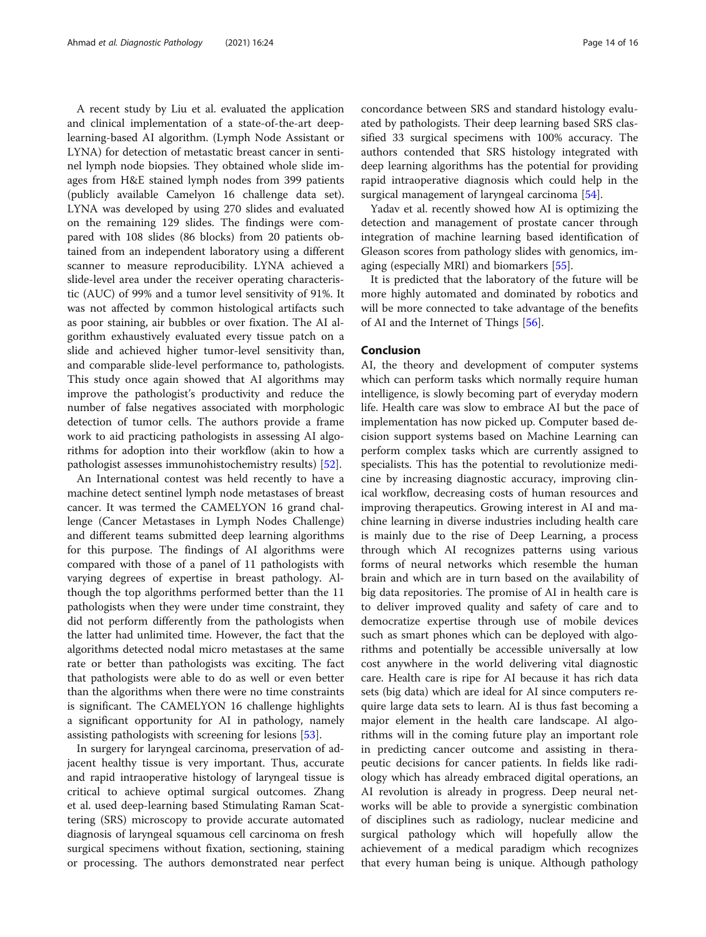A recent study by Liu et al. evaluated the application and clinical implementation of a state-of-the-art deeplearning-based AI algorithm. (Lymph Node Assistant or LYNA) for detection of metastatic breast cancer in sentinel lymph node biopsies. They obtained whole slide images from H&E stained lymph nodes from 399 patients (publicly available Camelyon 16 challenge data set). LYNA was developed by using 270 slides and evaluated on the remaining 129 slides. The findings were compared with 108 slides (86 blocks) from 20 patients obtained from an independent laboratory using a different scanner to measure reproducibility. LYNA achieved a slide-level area under the receiver operating characteristic (AUC) of 99% and a tumor level sensitivity of 91%. It was not affected by common histological artifacts such as poor staining, air bubbles or over fixation. The AI algorithm exhaustively evaluated every tissue patch on a slide and achieved higher tumor-level sensitivity than, and comparable slide-level performance to, pathologists. This study once again showed that AI algorithms may improve the pathologist's productivity and reduce the number of false negatives associated with morphologic detection of tumor cells. The authors provide a frame work to aid practicing pathologists in assessing AI algorithms for adoption into their workflow (akin to how a pathologist assesses immunohistochemistry results) [\[52](#page-15-0)].

An International contest was held recently to have a machine detect sentinel lymph node metastases of breast cancer. It was termed the CAMELYON 16 grand challenge (Cancer Metastases in Lymph Nodes Challenge) and different teams submitted deep learning algorithms for this purpose. The findings of AI algorithms were compared with those of a panel of 11 pathologists with varying degrees of expertise in breast pathology. Although the top algorithms performed better than the 11 pathologists when they were under time constraint, they did not perform differently from the pathologists when the latter had unlimited time. However, the fact that the algorithms detected nodal micro metastases at the same rate or better than pathologists was exciting. The fact that pathologists were able to do as well or even better than the algorithms when there were no time constraints is significant. The CAMELYON 16 challenge highlights a significant opportunity for AI in pathology, namely assisting pathologists with screening for lesions [\[53](#page-15-0)].

In surgery for laryngeal carcinoma, preservation of adjacent healthy tissue is very important. Thus, accurate and rapid intraoperative histology of laryngeal tissue is critical to achieve optimal surgical outcomes. Zhang et al. used deep-learning based Stimulating Raman Scattering (SRS) microscopy to provide accurate automated diagnosis of laryngeal squamous cell carcinoma on fresh surgical specimens without fixation, sectioning, staining or processing. The authors demonstrated near perfect concordance between SRS and standard histology evaluated by pathologists. Their deep learning based SRS classified 33 surgical specimens with 100% accuracy. The authors contended that SRS histology integrated with deep learning algorithms has the potential for providing rapid intraoperative diagnosis which could help in the surgical management of laryngeal carcinoma [[54](#page-15-0)].

Yadav et al. recently showed how AI is optimizing the detection and management of prostate cancer through integration of machine learning based identification of Gleason scores from pathology slides with genomics, imaging (especially MRI) and biomarkers [[55](#page-15-0)].

It is predicted that the laboratory of the future will be more highly automated and dominated by robotics and will be more connected to take advantage of the benefits of AI and the Internet of Things [[56\]](#page-15-0).

# Conclusion

AI, the theory and development of computer systems which can perform tasks which normally require human intelligence, is slowly becoming part of everyday modern life. Health care was slow to embrace AI but the pace of implementation has now picked up. Computer based decision support systems based on Machine Learning can perform complex tasks which are currently assigned to specialists. This has the potential to revolutionize medicine by increasing diagnostic accuracy, improving clinical workflow, decreasing costs of human resources and improving therapeutics. Growing interest in AI and machine learning in diverse industries including health care is mainly due to the rise of Deep Learning, a process through which AI recognizes patterns using various forms of neural networks which resemble the human brain and which are in turn based on the availability of big data repositories. The promise of AI in health care is to deliver improved quality and safety of care and to democratize expertise through use of mobile devices such as smart phones which can be deployed with algorithms and potentially be accessible universally at low cost anywhere in the world delivering vital diagnostic care. Health care is ripe for AI because it has rich data sets (big data) which are ideal for AI since computers require large data sets to learn. AI is thus fast becoming a major element in the health care landscape. AI algorithms will in the coming future play an important role in predicting cancer outcome and assisting in therapeutic decisions for cancer patients. In fields like radiology which has already embraced digital operations, an AI revolution is already in progress. Deep neural networks will be able to provide a synergistic combination of disciplines such as radiology, nuclear medicine and surgical pathology which will hopefully allow the achievement of a medical paradigm which recognizes that every human being is unique. Although pathology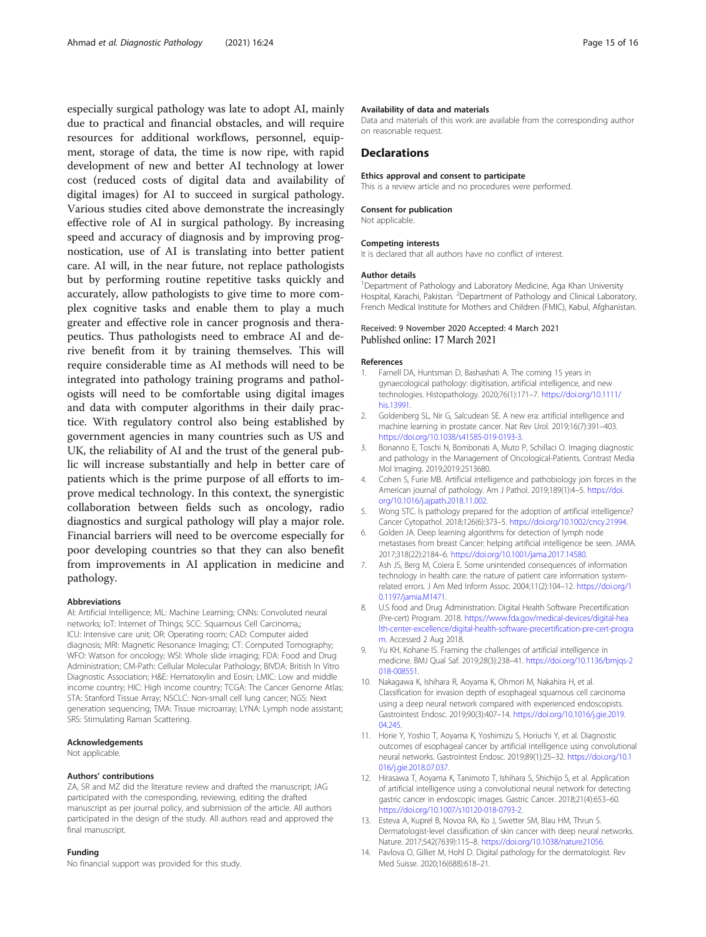<span id="page-14-0"></span>especially surgical pathology was late to adopt AI, mainly due to practical and financial obstacles, and will require resources for additional workflows, personnel, equipment, storage of data, the time is now ripe, with rapid development of new and better AI technology at lower cost (reduced costs of digital data and availability of digital images) for AI to succeed in surgical pathology. Various studies cited above demonstrate the increasingly effective role of AI in surgical pathology. By increasing speed and accuracy of diagnosis and by improving prognostication, use of AI is translating into better patient care. AI will, in the near future, not replace pathologists but by performing routine repetitive tasks quickly and accurately, allow pathologists to give time to more complex cognitive tasks and enable them to play a much greater and effective role in cancer prognosis and therapeutics. Thus pathologists need to embrace AI and derive benefit from it by training themselves. This will require considerable time as AI methods will need to be integrated into pathology training programs and pathologists will need to be comfortable using digital images and data with computer algorithms in their daily practice. With regulatory control also being established by government agencies in many countries such as US and UK, the reliability of AI and the trust of the general public will increase substantially and help in better care of patients which is the prime purpose of all efforts to improve medical technology. In this context, the synergistic collaboration between fields such as oncology, radio diagnostics and surgical pathology will play a major role. Financial barriers will need to be overcome especially for poor developing countries so that they can also benefit from improvements in AI application in medicine and pathology.

#### Abbreviations

AI: Artificial Intelligence; ML: Machine Learning; CNNs: Convoluted neural networks; IoT: Internet of Things; SCC: Squamous Cell Carcinoma,; ICU: Intensive care unit; OR: Operating room; CAD: Computer aided diagnosis; MRI: Magnetic Resonance Imaging; CT: Computed Tomography; WFO: Watson for oncology; WSI: Whole slide imaging; FDA: Food and Drug Administration; CM-Path: Cellular Molecular Pathology; BIVDA: British In Vitro Diagnostic Association; H&E: Hematoxylin and Eosin; LMIC: Low and middle income country; HIC: High income country; TCGA: The Cancer Genome Atlas; STA: Stanford Tissue Array; NSCLC: Non-small cell lung cancer; NGS: Next generation sequencing; TMA: Tissue microarray; LYNA: Lymph node assistant; SRS: Stimulating Raman Scattering.

#### Acknowledgements

Not applicable.

#### Authors' contributions

ZA, SR and MZ did the literature review and drafted the manuscript; JAG participated with the corresponding, reviewing, editing the drafted manuscript as per journal policy, and submission of the article. All authors participated in the design of the study. All authors read and approved the final manuscript.

#### Funding

No financial support was provided for this study.

#### Availability of data and materials

Data and materials of this work are available from the corresponding author on reasonable request.

# **Declarations**

Ethics approval and consent to participate

This is a review article and no procedures were performed.

#### Consent for publication

Not applicable.

#### Competing interests

It is declared that all authors have no conflict of interest.

#### Author details

<sup>1</sup>Department of Pathology and Laboratory Medicine, Aga Khan University Hospital, Karachi, Pakistan. <sup>2</sup>Department of Pathology and Clinical Laboratory French Medical Institute for Mothers and Children (FMIC), Kabul, Afghanistan.

#### Received: 9 November 2020 Accepted: 4 March 2021 Published online: 17 March 2021

#### References

- 1. Farnell DA, Huntsman D, Bashashati A. The coming 15 years in gynaecological pathology: digitisation, artificial intelligence, and new technologies. Histopathology. 2020;76(1):171–7. [https://doi.org/10.1111/](https://doi.org/10.1111/his.13991) [his.13991.](https://doi.org/10.1111/his.13991)
- 2. Goldenberg SL, Nir G, Salcudean SE. A new era: artificial intelligence and machine learning in prostate cancer. Nat Rev Urol. 2019;16(7):391–403. <https://doi.org/10.1038/s41585-019-0193-3>.
- 3. Bonanno E, Toschi N, Bombonati A, Muto P, Schillaci O. Imaging diagnostic and pathology in the Management of Oncological-Patients. Contrast Media Mol Imaging. 2019;2019:2513680.
- 4. Cohen S, Furie MB. Artificial intelligence and pathobiology join forces in the American journal of pathology. Am J Pathol. 2019;189(1):4–5. [https://doi.](https://doi.org/10.1016/j.ajpath.2018.11.002) [org/10.1016/j.ajpath.2018.11.002.](https://doi.org/10.1016/j.ajpath.2018.11.002)
- 5. Wong STC. Is pathology prepared for the adoption of artificial intelligence? Cancer Cytopathol. 2018;126(6):373–5. [https://doi.org/10.1002/cncy.21994.](https://doi.org/10.1002/cncy.21994)
- 6. Golden JA. Deep learning algorithms for detection of lymph node metastases from breast Cancer: helping artificial intelligence be seen. JAMA. 2017;318(22):2184–6. <https://doi.org/10.1001/jama.2017.14580>.
- 7. Ash JS, Berg M, Coiera E. Some unintended consequences of information technology in health care: the nature of patient care information systemrelated errors. J Am Med Inform Assoc. 2004;11(2):104–12. [https://doi.org/1](https://doi.org/10.1197/jamia.M1471) [0.1197/jamia.M1471.](https://doi.org/10.1197/jamia.M1471)
- 8. U.S food and Drug Administration. Digital Health Software Precertification (Pre-cert) Program. 2018. [https://www.fda.gov/medical-devices/digital-hea](https://www.fda.gov/medical-devices/digital-health-center-excellence/digital-health-software-precertification-pre-cert-program) [lth-center-excellence/digital-health-software-precertification-pre-cert-progra](https://www.fda.gov/medical-devices/digital-health-center-excellence/digital-health-software-precertification-pre-cert-program) [m.](https://www.fda.gov/medical-devices/digital-health-center-excellence/digital-health-software-precertification-pre-cert-program) Accessed 2 Aug 2018.
- 9. Yu KH, Kohane IS. Framing the challenges of artificial intelligence in medicine. BMJ Qual Saf. 2019;28(3):238–41. [https://doi.org/10.1136/bmjqs-2](https://doi.org/10.1136/bmjqs-2018-008551) [018-008551.](https://doi.org/10.1136/bmjqs-2018-008551)
- 10. Nakagawa K, Ishihara R, Aoyama K, Ohmori M, Nakahira H, et al. Classification for invasion depth of esophageal squamous cell carcinoma using a deep neural network compared with experienced endoscopists. Gastrointest Endosc. 2019;90(3):407–14. [https://doi.org/10.1016/j.gie.2019.](https://doi.org/10.1016/j.gie.2019.04.245) [04.245](https://doi.org/10.1016/j.gie.2019.04.245).
- 11. Horie Y, Yoshio T, Aoyama K, Yoshimizu S, Horiuchi Y, et al. Diagnostic outcomes of esophageal cancer by artificial intelligence using convolutional neural networks. Gastrointest Endosc. 2019;89(1):25–32. [https://doi.org/10.1](https://doi.org/10.1016/j.gie.2018.07.037) [016/j.gie.2018.07.037](https://doi.org/10.1016/j.gie.2018.07.037).
- 12. Hirasawa T, Aoyama K, Tanimoto T, Ishihara S, Shichijo S, et al. Application of artificial intelligence using a convolutional neural network for detecting gastric cancer in endoscopic images. Gastric Cancer. 2018;21(4):653–60. <https://doi.org/10.1007/s10120-018-0793-2>.
- 13. Esteva A, Kuprel B, Novoa RA, Ko J, Swetter SM, Blau HM, Thrun S. Dermatologist-level classification of skin cancer with deep neural networks. Nature. 2017;542(7639):115–8. [https://doi.org/10.1038/nature21056.](https://doi.org/10.1038/nature21056)
- 14. Pavlova O, Gilliet M, Hohl D. Digital pathology for the dermatologist. Rev Med Suisse. 2020;16(688):618–21.